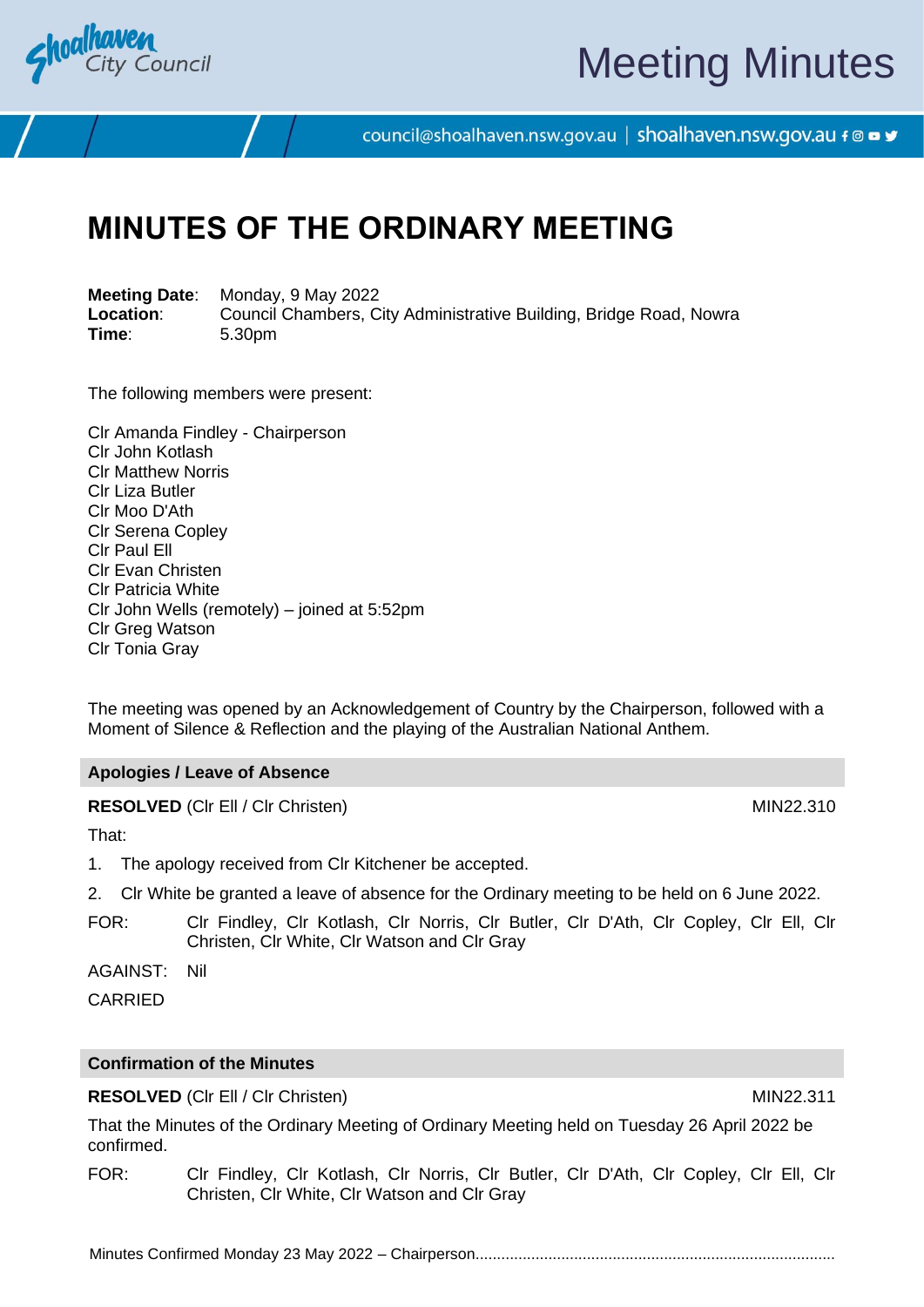

# Meeting Minutes

council@shoalhaven.nsw.gov.au | shoalhaven.nsw.gov.au f @ ■ y

## **MINUTES OF THE ORDINARY MEETING**

**Meeting Date**: Monday, 9 May 2022 **Location:** Council Chambers, City Administrative Building, Bridge Road, Nowra<br>
Time: 5.30pm **Time**: 5.30pm

The following members were present:

Clr Amanda Findley - Chairperson Clr John Kotlash Clr Matthew Norris Clr Liza Butler Clr Moo D'Ath Clr Serena Copley Clr Paul Ell Clr Evan Christen Clr Patricia White Clr John Wells (remotely) – joined at 5:52pm Clr Greg Watson Clr Tonia Gray

The meeting was opened by an Acknowledgement of Country by the Chairperson, followed with a Moment of Silence & Reflection and the playing of the Australian National Anthem.

#### **Apologies / Leave of Absence**

**RESOLVED** (CIr Ell / CIr Christen) MIN22.310

That:

- 1. The apology received from Clr Kitchener be accepted.
- 2. Clr White be granted a leave of absence for the Ordinary meeting to be held on 6 June 2022.
- FOR: Clr Findley, Clr Kotlash, Clr Norris, Clr Butler, Clr D'Ath, Clr Copley, Clr Ell, Clr Christen, Clr White, Clr Watson and Clr Gray

AGAINST: Nil

**CARRIED** 

#### **Confirmation of the Minutes**

#### **RESOLVED** (CIr Ell / CIr Christen) MIN22.311

That the Minutes of the Ordinary Meeting of Ordinary Meeting held on Tuesday 26 April 2022 be confirmed.

FOR: Clr Findley, Clr Kotlash, Clr Norris, Clr Butler, Clr D'Ath, Clr Copley, Clr Ell, Clr Christen, Clr White, Clr Watson and Clr Gray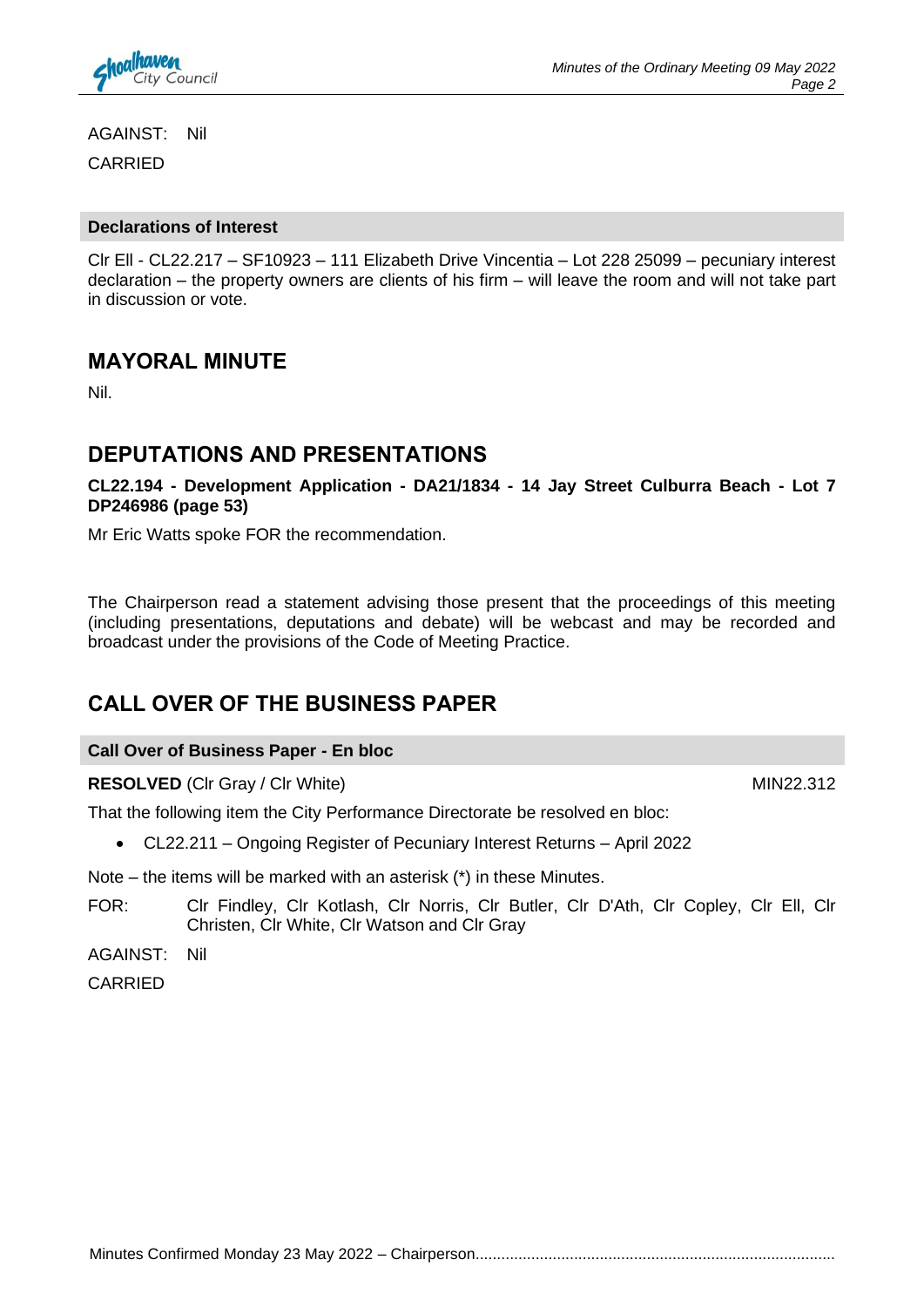

AGAINST: Nil CARRIED

#### **Declarations of Interest**

Clr Ell - CL22.217 – SF10923 – 111 Elizabeth Drive Vincentia – Lot 228 25099 – pecuniary interest declaration – the property owners are clients of his firm – will leave the room and will not take part in discussion or vote.

#### **MAYORAL MINUTE**

Nil.

### **DEPUTATIONS AND PRESENTATIONS**

**CL22.194 - Development Application - DA21/1834 - 14 Jay Street Culburra Beach - Lot 7 DP246986 (page 53)**

Mr Eric Watts spoke FOR the recommendation.

The Chairperson read a statement advising those present that the proceedings of this meeting (including presentations, deputations and debate) will be webcast and may be recorded and broadcast under the provisions of the Code of Meeting Practice.

### **CALL OVER OF THE BUSINESS PAPER**

#### **Call Over of Business Paper - En bloc**

**RESOLVED** (Clr Gray / Clr White) MIN22.312

That the following item the City Performance Directorate be resolved en bloc:

• CL22.211 – Ongoing Register of Pecuniary Interest Returns – April 2022

Note – the items will be marked with an asterisk (\*) in these Minutes.

FOR: Clr Findley, Clr Kotlash, Clr Norris, Clr Butler, Clr D'Ath, Clr Copley, Clr Ell, Clr Christen, Clr White, Clr Watson and Clr Gray

AGAINST: Nil

CARRIED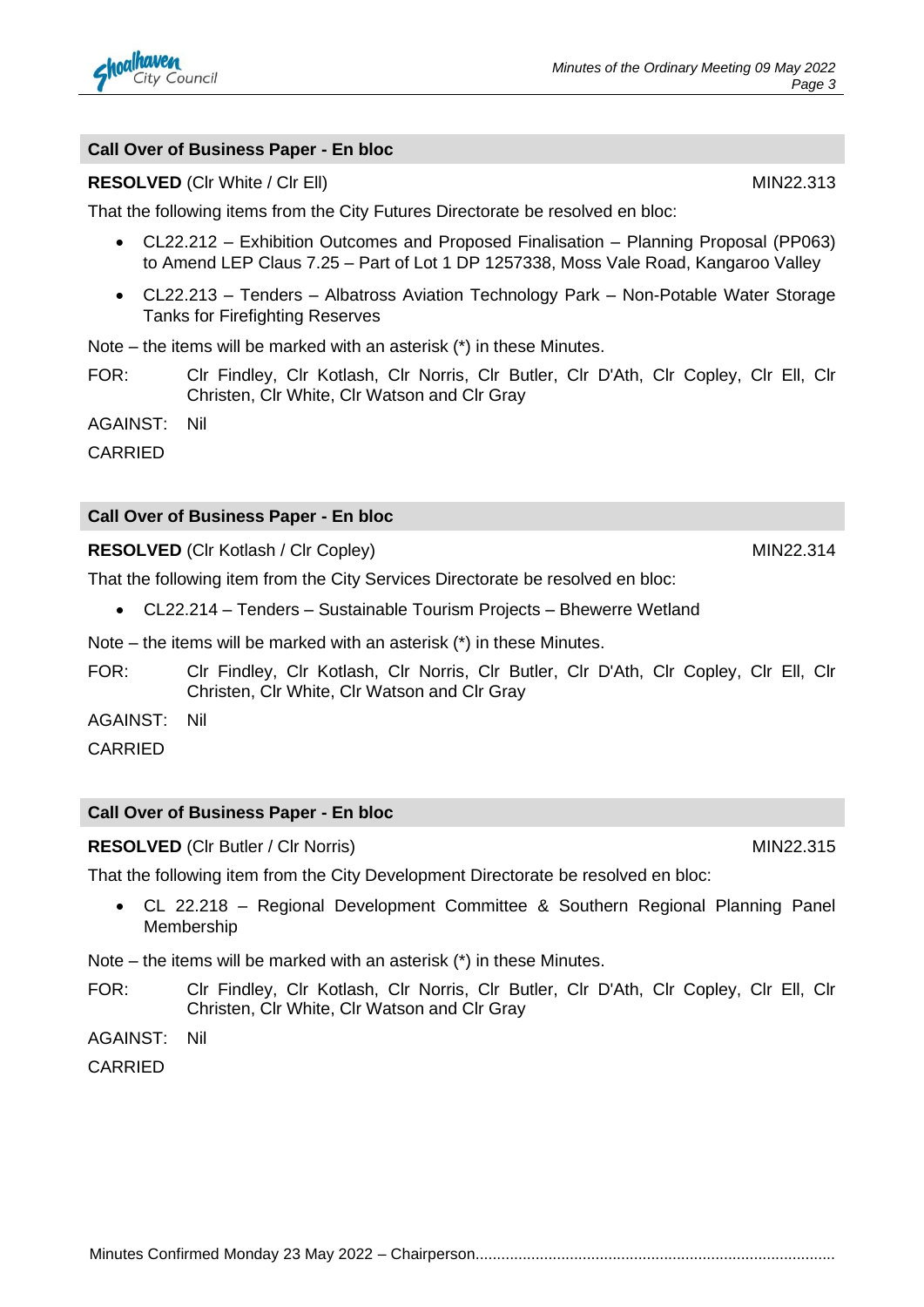

#### **Call Over of Business Paper - En bloc**

#### **RESOLVED** (CIr White / CIr Ell) MIN22.313

That the following items from the City Futures Directorate be resolved en bloc:

- CL22.212 Exhibition Outcomes and Proposed Finalisation Planning Proposal (PP063) to Amend LEP Claus 7.25 – Part of Lot 1 DP 1257338, Moss Vale Road, Kangaroo Valley
- CL22.213 Tenders Albatross Aviation Technology Park Non-Potable Water Storage Tanks for Firefighting Reserves

Note – the items will be marked with an asterisk (\*) in these Minutes.

FOR: Clr Findley, Clr Kotlash, Clr Norris, Clr Butler, Clr D'Ath, Clr Copley, Clr Ell, Clr Christen, Clr White, Clr Watson and Clr Gray

AGAINST: Nil

CARRIED

#### **Call Over of Business Paper - En bloc**

**RESOLVED** (CIr Kotlash / CIr Copley) MIN22.314

That the following item from the City Services Directorate be resolved en bloc:

• CL22.214 – Tenders – Sustainable Tourism Projects – Bhewerre Wetland

Note – the items will be marked with an asterisk (\*) in these Minutes.

FOR: Clr Findley, Clr Kotlash, Clr Norris, Clr Butler, Clr D'Ath, Clr Copley, Clr Ell, Clr Christen, Clr White, Clr Watson and Clr Gray

AGAINST: Nil

CARRIED

#### **Call Over of Business Paper - En bloc**

**RESOLVED** (CIr Butler / CIr Norris) MIN22.315

That the following item from the City Development Directorate be resolved en bloc:

• CL 22.218 – Regional Development Committee & Southern Regional Planning Panel Membership

Note – the items will be marked with an asterisk (\*) in these Minutes.

FOR: Clr Findley, Clr Kotlash, Clr Norris, Clr Butler, Clr D'Ath, Clr Copley, Clr Ell, Clr Christen, Clr White, Clr Watson and Clr Gray

AGAINST: Nil

CARRIED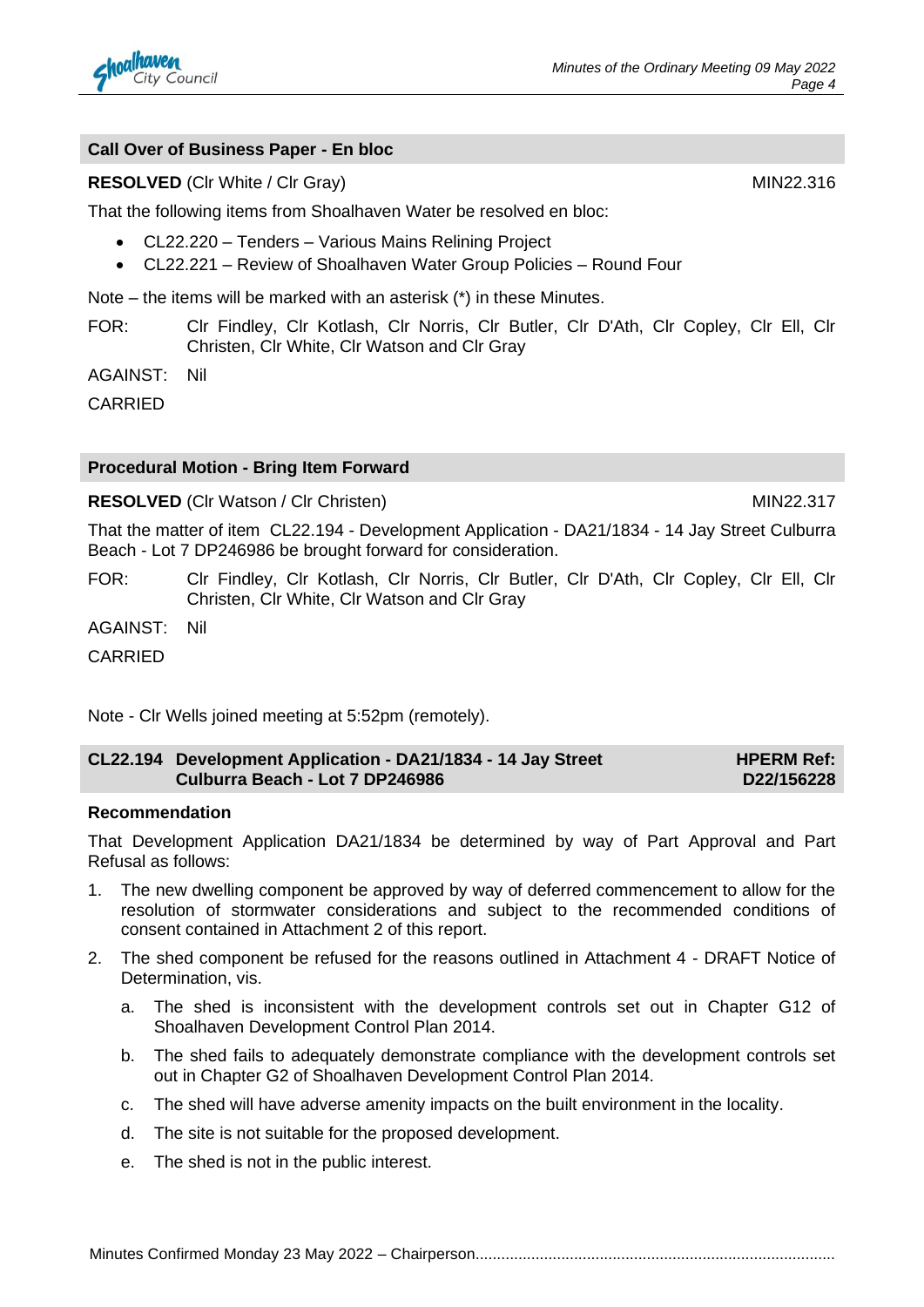

#### **Call Over of Business Paper - En bloc**

#### **RESOLVED** (Clr White / Clr Gray) MIN22.316

That the following items from Shoalhaven Water be resolved en bloc:

- CL22.220 Tenders Various Mains Relining Project
- CL22.221 Review of Shoalhaven Water Group Policies Round Four

Note – the items will be marked with an asterisk (\*) in these Minutes.

FOR: Clr Findley, Clr Kotlash, Clr Norris, Clr Butler, Clr D'Ath, Clr Copley, Clr Ell, Clr Christen, Clr White, Clr Watson and Clr Gray

AGAINST: Nil

**CARRIED** 

#### **Procedural Motion - Bring Item Forward**

#### **RESOLVED** (CIr Watson / CIr Christen) MIN22.317

That the matter of item CL22.194 - Development Application - DA21/1834 - 14 Jay Street Culburra Beach - Lot 7 DP246986 be brought forward for consideration.

FOR: Clr Findley, Clr Kotlash, Clr Norris, Clr Butler, Clr D'Ath, Clr Copley, Clr Ell, Clr Christen, Clr White, Clr Watson and Clr Gray

AGAINST: Nil

CARRIED

Note - Clr Wells joined meeting at 5:52pm (remotely).

#### **CL22.194 Development Application - DA21/1834 - 14 Jay Street Culburra Beach - Lot 7 DP246986 HPERM Ref: D22/156228**

#### **Recommendation**

That Development Application DA21/1834 be determined by way of Part Approval and Part Refusal as follows:

- 1. The new dwelling component be approved by way of deferred commencement to allow for the resolution of stormwater considerations and subject to the recommended conditions of consent contained in Attachment 2 of this report.
- 2. The shed component be refused for the reasons outlined in Attachment 4 DRAFT Notice of Determination, vis.
	- a. The shed is inconsistent with the development controls set out in Chapter G12 of Shoalhaven Development Control Plan 2014.
	- b. The shed fails to adequately demonstrate compliance with the development controls set out in Chapter G2 of Shoalhaven Development Control Plan 2014.
	- c. The shed will have adverse amenity impacts on the built environment in the locality.
	- d. The site is not suitable for the proposed development.
	- e. The shed is not in the public interest.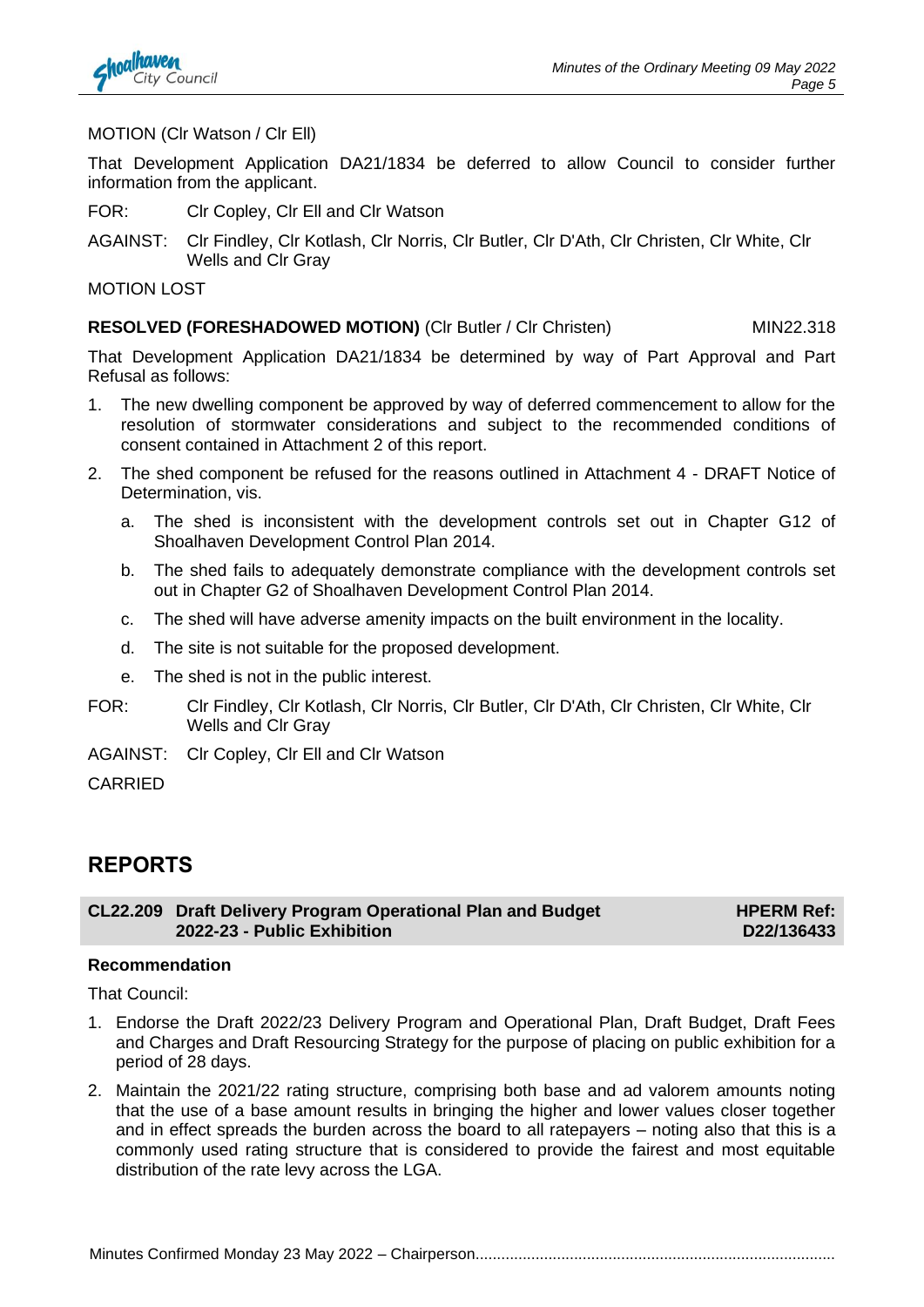MOTION (Clr Watson / Clr Ell)

That Development Application DA21/1834 be deferred to allow Council to consider further information from the applicant.

- FOR: Clr Copley, Clr Ell and Clr Watson
- AGAINST: Clr Findley, Clr Kotlash, Clr Norris, Clr Butler, Clr D'Ath, Clr Christen, Clr White, Clr Wells and Clr Gray

MOTION LOST

#### **RESOLVED (FORESHADOWED MOTION)** (CIr Butler / CIr Christen) MIN22.318

That Development Application DA21/1834 be determined by way of Part Approval and Part Refusal as follows:

- 1. The new dwelling component be approved by way of deferred commencement to allow for the resolution of stormwater considerations and subject to the recommended conditions of consent contained in Attachment 2 of this report.
- 2. The shed component be refused for the reasons outlined in Attachment 4 DRAFT Notice of Determination, vis.
	- a. The shed is inconsistent with the development controls set out in Chapter G12 of Shoalhaven Development Control Plan 2014.
	- b. The shed fails to adequately demonstrate compliance with the development controls set out in Chapter G2 of Shoalhaven Development Control Plan 2014.
	- c. The shed will have adverse amenity impacts on the built environment in the locality.
	- d. The site is not suitable for the proposed development.
	- e. The shed is not in the public interest.
- FOR: Clr Findley, Clr Kotlash, Clr Norris, Clr Butler, Clr D'Ath, Clr Christen, Clr White, Clr Wells and Clr Gray
- AGAINST: Clr Copley, Clr Ell and Clr Watson

CARRIED

#### **REPORTS**

**CL22.209 Draft Delivery Program Operational Plan and Budget 2022-23 - Public Exhibition**

**HPERM Ref: D22/136433**

#### **Recommendation**

That Council:

- 1. Endorse the Draft 2022/23 Delivery Program and Operational Plan, Draft Budget, Draft Fees and Charges and Draft Resourcing Strategy for the purpose of placing on public exhibition for a period of 28 days.
- 2. Maintain the 2021/22 rating structure, comprising both base and ad valorem amounts noting that the use of a base amount results in bringing the higher and lower values closer together and in effect spreads the burden across the board to all ratepayers – noting also that this is a commonly used rating structure that is considered to provide the fairest and most equitable distribution of the rate levy across the LGA.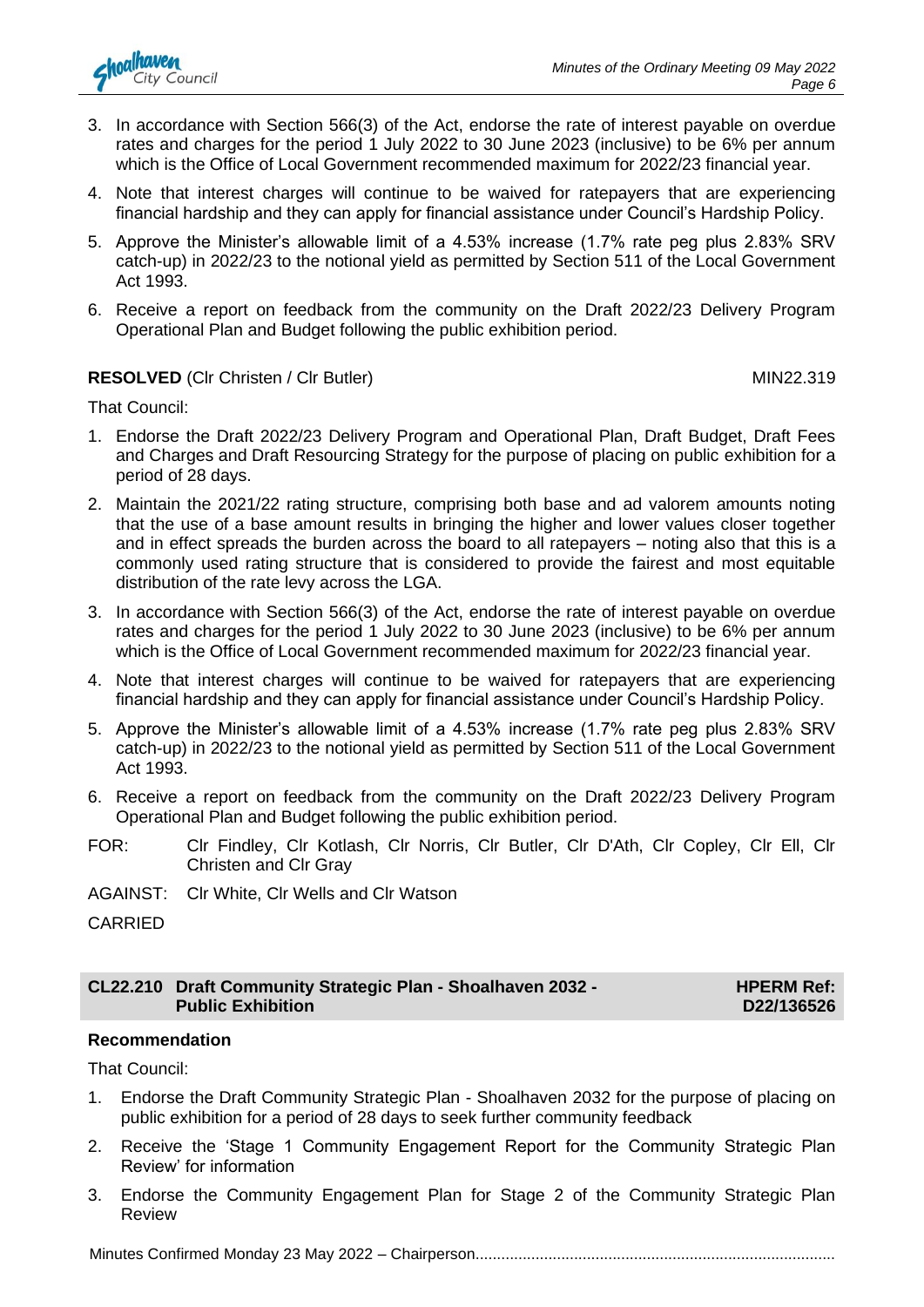

- 3. In accordance with Section 566(3) of the Act, endorse the rate of interest payable on overdue rates and charges for the period 1 July 2022 to 30 June 2023 (inclusive) to be 6% per annum which is the Office of Local Government recommended maximum for 2022/23 financial year.
- 4. Note that interest charges will continue to be waived for ratepayers that are experiencing financial hardship and they can apply for financial assistance under Council's Hardship Policy.
- 5. Approve the Minister's allowable limit of a 4.53% increase (1.7% rate peg plus 2.83% SRV catch-up) in 2022/23 to the notional yield as permitted by Section 511 of the Local Government Act 1993.
- 6. Receive a report on feedback from the community on the Draft 2022/23 Delivery Program Operational Plan and Budget following the public exhibition period.

#### **RESOLVED** (CIr Christen / CIr Butler) MIN22.319

That Council:

- 1. Endorse the Draft 2022/23 Delivery Program and Operational Plan, Draft Budget, Draft Fees and Charges and Draft Resourcing Strategy for the purpose of placing on public exhibition for a period of 28 days.
- 2. Maintain the 2021/22 rating structure, comprising both base and ad valorem amounts noting that the use of a base amount results in bringing the higher and lower values closer together and in effect spreads the burden across the board to all ratepayers – noting also that this is a commonly used rating structure that is considered to provide the fairest and most equitable distribution of the rate levy across the LGA.
- 3. In accordance with Section 566(3) of the Act, endorse the rate of interest payable on overdue rates and charges for the period 1 July 2022 to 30 June 2023 (inclusive) to be 6% per annum which is the Office of Local Government recommended maximum for 2022/23 financial year.
- 4. Note that interest charges will continue to be waived for ratepayers that are experiencing financial hardship and they can apply for financial assistance under Council's Hardship Policy.
- 5. Approve the Minister's allowable limit of a 4.53% increase (1.7% rate peg plus 2.83% SRV catch-up) in 2022/23 to the notional yield as permitted by Section 511 of the Local Government Act 1993.
- 6. Receive a report on feedback from the community on the Draft 2022/23 Delivery Program Operational Plan and Budget following the public exhibition period.
- FOR: Clr Findley, Clr Kotlash, Clr Norris, Clr Butler, Clr D'Ath, Clr Copley, Clr Ell, Clr Christen and Clr Gray
- AGAINST: Clr White, Clr Wells and Clr Watson
- CARRIED

#### **CL22.210 Draft Community Strategic Plan - Shoalhaven 2032 - Public Exhibition**

**HPERM Ref: D22/136526**

#### **Recommendation**

That Council:

- 1. Endorse the Draft Community Strategic Plan Shoalhaven 2032 for the purpose of placing on public exhibition for a period of 28 days to seek further community feedback
- 2. Receive the 'Stage 1 Community Engagement Report for the Community Strategic Plan Review' for information
- 3. Endorse the Community Engagement Plan for Stage 2 of the Community Strategic Plan Review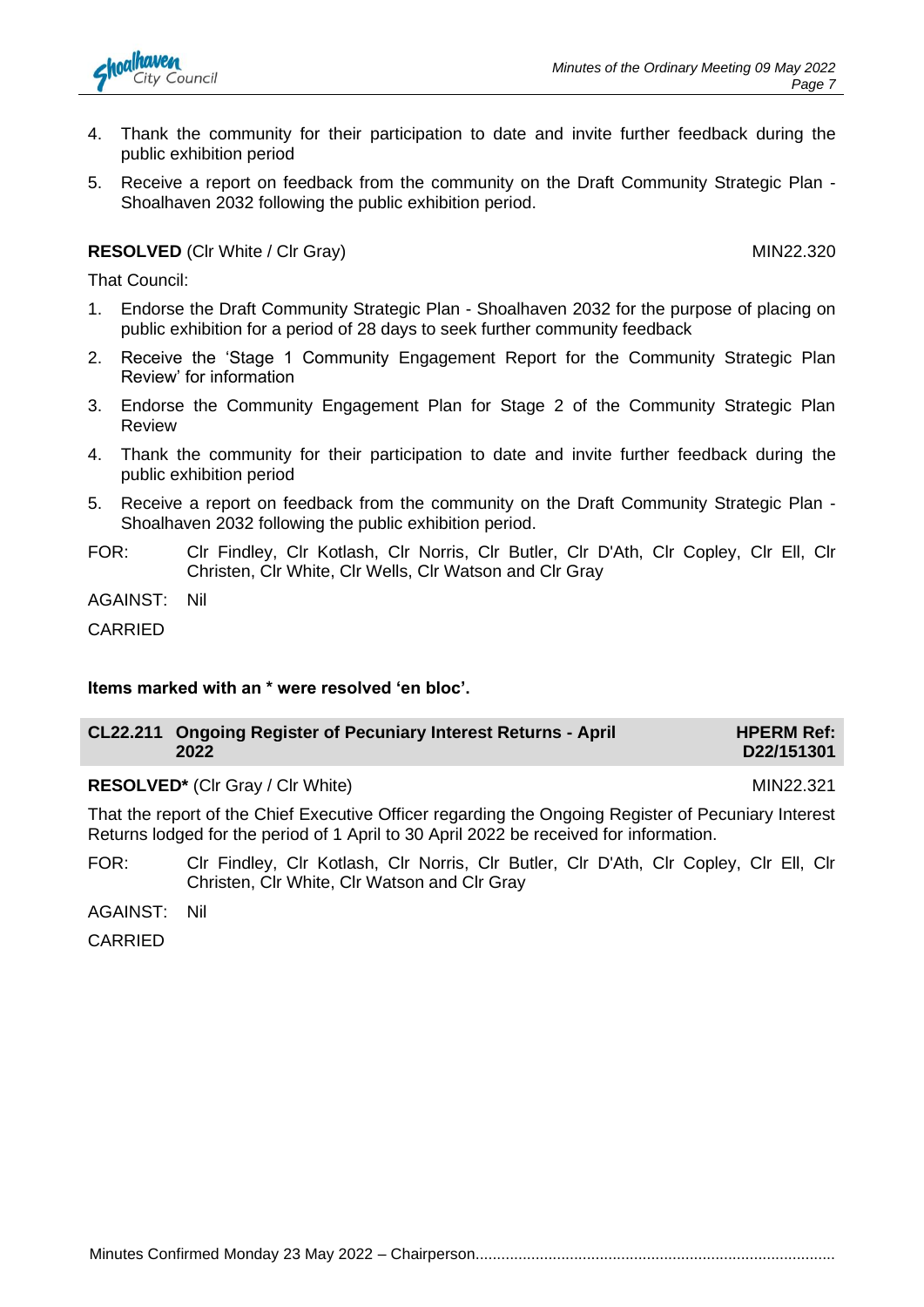- 4. Thank the community for their participation to date and invite further feedback during the public exhibition period
- 5. Receive a report on feedback from the community on the Draft Community Strategic Plan Shoalhaven 2032 following the public exhibition period.

#### **RESOLVED** (CIr White / CIr Gray) MIN22.320

That Council:

- 1. Endorse the Draft Community Strategic Plan Shoalhaven 2032 for the purpose of placing on public exhibition for a period of 28 days to seek further community feedback
- 2. Receive the 'Stage 1 Community Engagement Report for the Community Strategic Plan Review' for information
- 3. Endorse the Community Engagement Plan for Stage 2 of the Community Strategic Plan Review
- 4. Thank the community for their participation to date and invite further feedback during the public exhibition period
- 5. Receive a report on feedback from the community on the Draft Community Strategic Plan Shoalhaven 2032 following the public exhibition period.
- FOR: Clr Findley, Clr Kotlash, Clr Norris, Clr Butler, Clr D'Ath, Clr Copley, Clr Ell, Clr Christen, Clr White, Clr Wells, Clr Watson and Clr Gray

AGAINST: Nil

CARRIED

#### **Items marked with an \* were resolved 'en bloc'.**

| CL22.211 Ongoing Register of Pecuniary Interest Returns - April | <b>HPERM Ref:</b> |
|-----------------------------------------------------------------|-------------------|
| 2022                                                            | D22/151301        |

#### **RESOLVED<sup>\*</sup>** (Clr Gray / Clr White) MIN22.321

That the report of the Chief Executive Officer regarding the Ongoing Register of Pecuniary Interest Returns lodged for the period of 1 April to 30 April 2022 be received for information.

FOR: Clr Findley, Clr Kotlash, Clr Norris, Clr Butler, Clr D'Ath, Clr Copley, Clr Ell, Clr Christen, Clr White, Clr Watson and Clr Gray

AGAINST: Nil

CARRIED

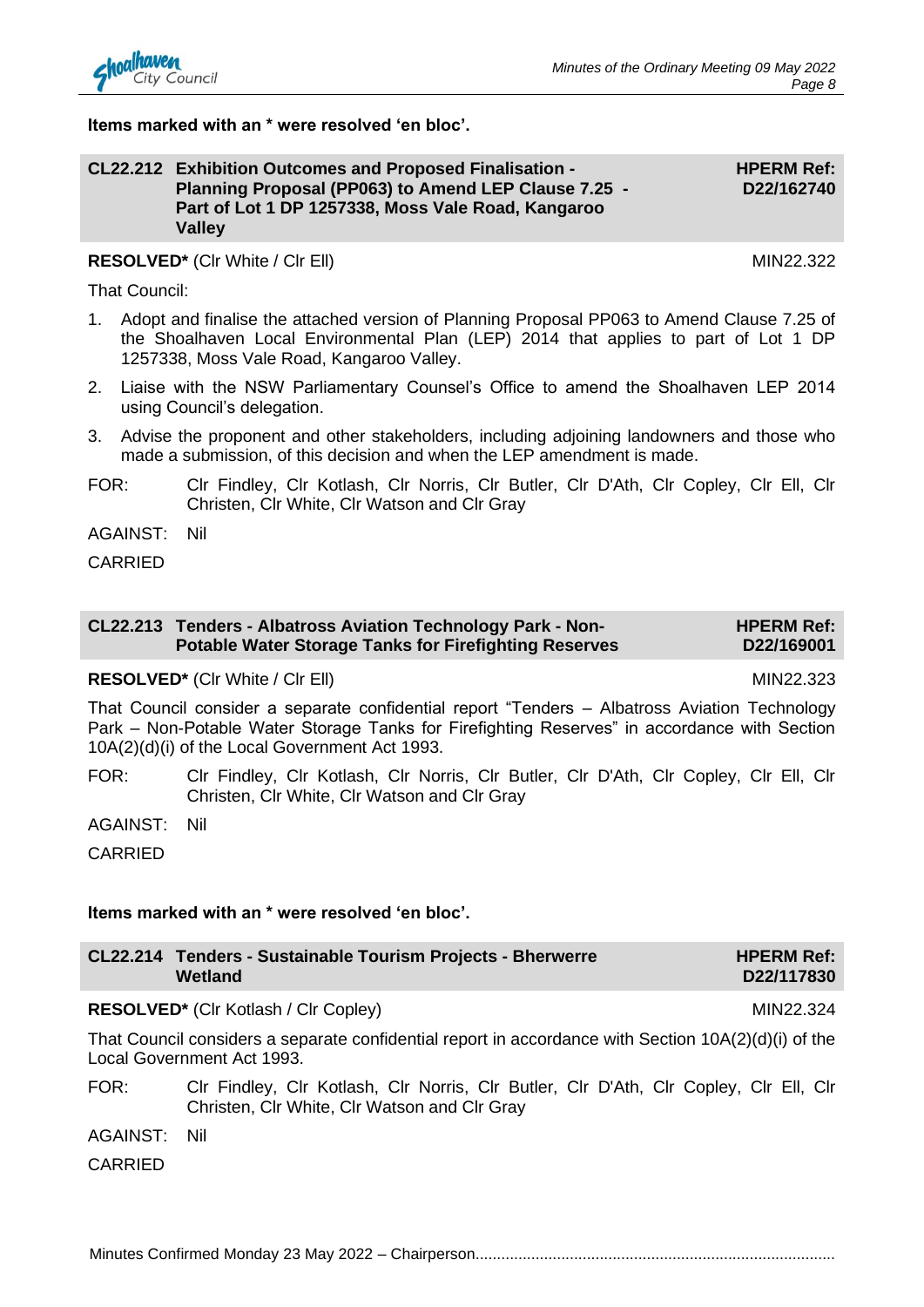#### **Items marked with an \* were resolved 'en bloc'.**

#### **CL22.212 Exhibition Outcomes and Proposed Finalisation - Planning Proposal (PP063) to Amend LEP Clause 7.25 - Part of Lot 1 DP 1257338, Moss Vale Road, Kangaroo Valley**

### **RESOLVED<sup>\*</sup>** (CIr White / CIr EII) MIN22.322

That Council:

- 1. Adopt and finalise the attached version of Planning Proposal PP063 to Amend Clause 7.25 of the Shoalhaven Local Environmental Plan (LEP) 2014 that applies to part of Lot 1 DP 1257338, Moss Vale Road, Kangaroo Valley.
- 2. Liaise with the NSW Parliamentary Counsel's Office to amend the Shoalhaven LEP 2014 using Council's delegation.
- 3. Advise the proponent and other stakeholders, including adjoining landowners and those who made a submission, of this decision and when the LEP amendment is made.
- FOR: Clr Findley, Clr Kotlash, Clr Norris, Clr Butler, Clr D'Ath, Clr Copley, Clr Ell, Clr Christen, Clr White, Clr Watson and Clr Gray

AGAINST: Nil

CARRIED

#### **CL22.213 Tenders - Albatross Aviation Technology Park - Non-Potable Water Storage Tanks for Firefighting Reserves HPERM Ref: D22/169001**

#### **RESOLVED\*** (CIr White / CIr Ell) MIN22.323

That Council consider a separate confidential report "Tenders – Albatross Aviation Technology Park – Non-Potable Water Storage Tanks for Firefighting Reserves" in accordance with Section 10A(2)(d)(i) of the Local Government Act 1993.

FOR: Clr Findley, Clr Kotlash, Clr Norris, Clr Butler, Clr D'Ath, Clr Copley, Clr Ell, Clr Christen, Clr White, Clr Watson and Clr Gray

AGAINST: Nil

CARRIED

#### **Items marked with an \* were resolved 'en bloc'.**

| CL22.214 Tenders - Sustainable Tourism Projects - Bherwerre | <b>HPERM Ref:</b> |
|-------------------------------------------------------------|-------------------|
| Wetland                                                     | D22/117830        |

#### RESOLVED<sup>\*</sup> (Clr Kotlash / Clr Copley) MIN22.324

That Council considers a separate confidential report in accordance with Section 10A(2)(d)(i) of the Local Government Act 1993.

FOR: Clr Findley, Clr Kotlash, Clr Norris, Clr Butler, Clr D'Ath, Clr Copley, Clr Ell, Clr Christen, Clr White, Clr Watson and Clr Gray

AGAINST: Nil

CARRIED

Minutes Confirmed Monday 23 May 2022 – Chairperson....................................................................................

**HPERM Ref: D22/162740**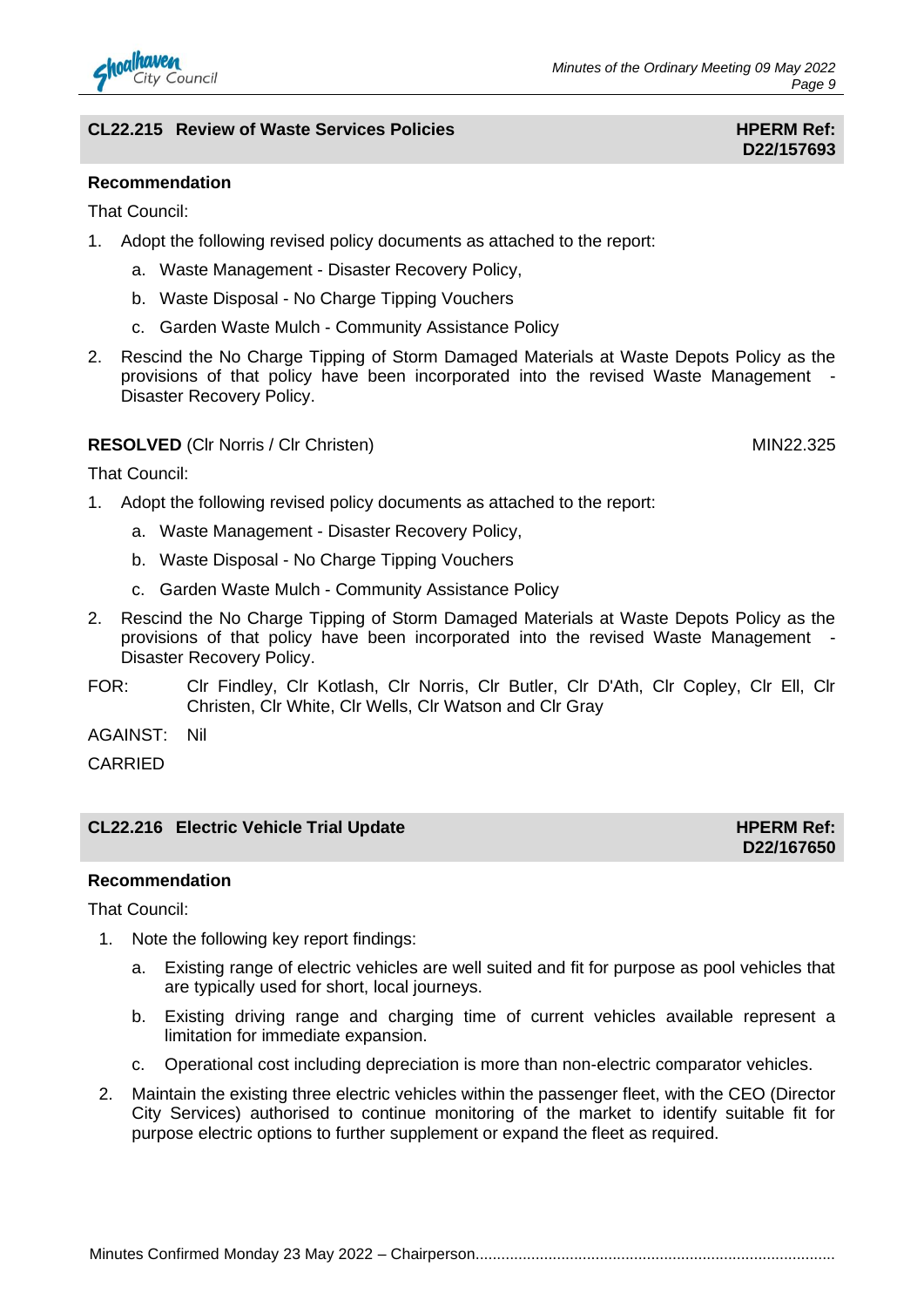

That Council:

- 1. Adopt the following revised policy documents as attached to the report:
	- a. Waste Management Disaster Recovery Policy,
	- b. Waste Disposal No Charge Tipping Vouchers
	- c. Garden Waste Mulch Community Assistance Policy
- 2. Rescind the No Charge Tipping of Storm Damaged Materials at Waste Depots Policy as the provisions of that policy have been incorporated into the revised Waste Management - Disaster Recovery Policy.

#### **RESOLVED** (CIr Norris / CIr Christen) MIN22.325

That Council:

- 1. Adopt the following revised policy documents as attached to the report:
	- a. Waste Management Disaster Recovery Policy,
	- b. Waste Disposal No Charge Tipping Vouchers
	- c. Garden Waste Mulch Community Assistance Policy
- 2. Rescind the No Charge Tipping of Storm Damaged Materials at Waste Depots Policy as the provisions of that policy have been incorporated into the revised Waste Management - Disaster Recovery Policy.
- FOR: Clr Findley, Clr Kotlash, Clr Norris, Clr Butler, Clr D'Ath, Clr Copley, Clr Ell, Clr Christen, Clr White, Clr Wells, Clr Watson and Clr Gray

AGAINST: Nil

**CARRIED** 

#### **CL22.216 Electric Vehicle Trial Update HPERM Ref: HPERM Ref: HPERM Ref:**

#### **Recommendation**

That Council:

- 1. Note the following key report findings:
	- a. Existing range of electric vehicles are well suited and fit for purpose as pool vehicles that are typically used for short, local journeys.
	- b. Existing driving range and charging time of current vehicles available represent a limitation for immediate expansion.
	- c. Operational cost including depreciation is more than non-electric comparator vehicles.
- 2. Maintain the existing three electric vehicles within the passenger fleet, with the CEO (Director City Services) authorised to continue monitoring of the market to identify suitable fit for purpose electric options to further supplement or expand the fleet as required.



**D22/167650**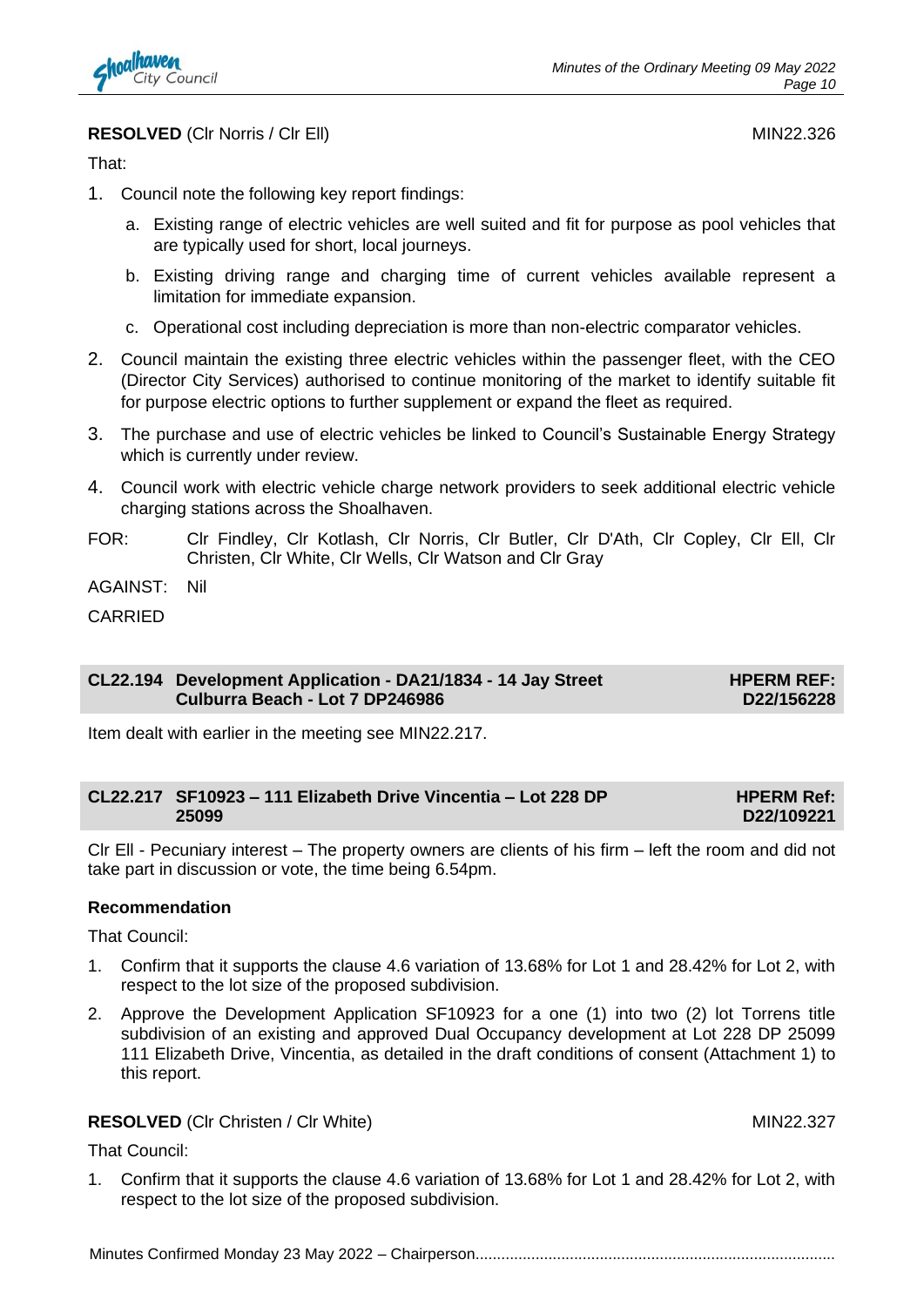

**RESOLVED** (CIr Norris / CIr Ell) MIN22.326

That:

- 1. Council note the following key report findings:
	- a. Existing range of electric vehicles are well suited and fit for purpose as pool vehicles that are typically used for short, local journeys.
	- b. Existing driving range and charging time of current vehicles available represent a limitation for immediate expansion.
	- c. Operational cost including depreciation is more than non-electric comparator vehicles.
- 2. Council maintain the existing three electric vehicles within the passenger fleet, with the CEO (Director City Services) authorised to continue monitoring of the market to identify suitable fit for purpose electric options to further supplement or expand the fleet as required.
- 3. The purchase and use of electric vehicles be linked to Council's Sustainable Energy Strategy which is currently under review.
- 4. Council work with electric vehicle charge network providers to seek additional electric vehicle charging stations across the Shoalhaven.
- FOR: Clr Findley, Clr Kotlash, Clr Norris, Clr Butler, Clr D'Ath, Clr Copley, Clr Ell, Clr Christen, Clr White, Clr Wells, Clr Watson and Clr Gray

AGAINST: Nil

CARRIED

#### **CL22.194 Development Application - DA21/1834 - 14 Jay Street Culburra Beach - Lot 7 DP246986**

**HPERM REF: D22/156228**

Item dealt with earlier in the meeting see MIN22.217.

| CL22.217 SF10923 - 111 Elizabeth Drive Vincentia - Lot 228 DP | <b>HPERM Ref:</b> |
|---------------------------------------------------------------|-------------------|
| 25099                                                         | D22/109221        |

Clr Ell - Pecuniary interest – The property owners are clients of his firm – left the room and did not take part in discussion or vote, the time being 6.54pm.

#### **Recommendation**

That Council:

- 1. Confirm that it supports the clause 4.6 variation of 13.68% for Lot 1 and 28.42% for Lot 2, with respect to the lot size of the proposed subdivision.
- 2. Approve the Development Application SF10923 for a one (1) into two (2) lot Torrens title subdivision of an existing and approved Dual Occupancy development at Lot 228 DP 25099 111 Elizabeth Drive, Vincentia, as detailed in the draft conditions of consent (Attachment 1) to this report.

#### **RESOLVED** (CIr Christen / CIr White) MIN22.327

That Council:

1. Confirm that it supports the clause 4.6 variation of 13.68% for Lot 1 and 28.42% for Lot 2, with respect to the lot size of the proposed subdivision.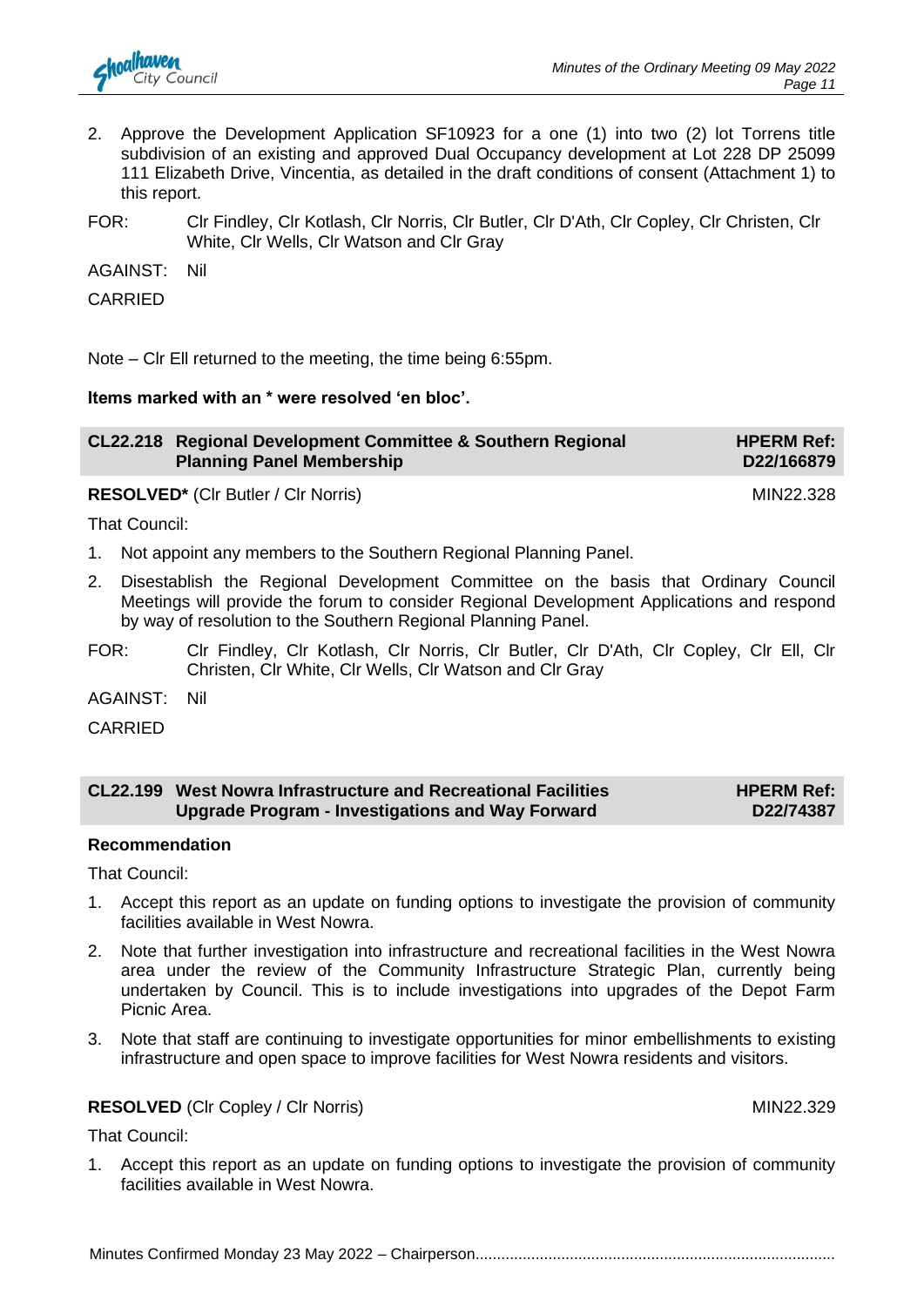

- 2. Approve the Development Application SF10923 for a one (1) into two (2) lot Torrens title subdivision of an existing and approved Dual Occupancy development at Lot 228 DP 25099 111 Elizabeth Drive, Vincentia, as detailed in the draft conditions of consent (Attachment 1) to this report.
- FOR: Clr Findley, Clr Kotlash, Clr Norris, Clr Butler, Clr D'Ath, Clr Copley, Clr Christen, Clr White, Clr Wells, Clr Watson and Clr Gray

AGAINST: Nil

CARRIED

Note – Clr Ell returned to the meeting, the time being 6:55pm.

#### **Items marked with an \* were resolved 'en bloc'.**

| CL22.218 Regional Development Committee & Southern Regional<br><b>Planning Panel Membership</b> | <b>HPERM Ref:</b><br>D22/166879 |
|-------------------------------------------------------------------------------------------------|---------------------------------|
| <b>RESOLVED*</b> (CIr Butler / CIr Norris)                                                      | MIN22.328                       |

That Council:

- 1. Not appoint any members to the Southern Regional Planning Panel.
- 2. Disestablish the Regional Development Committee on the basis that Ordinary Council Meetings will provide the forum to consider Regional Development Applications and respond by way of resolution to the Southern Regional Planning Panel.
- FOR: Clr Findley, Clr Kotlash, Clr Norris, Clr Butler, Clr D'Ath, Clr Copley, Clr Ell, Clr Christen, Clr White, Clr Wells, Clr Watson and Clr Gray

AGAINST: Nil

CARRIED

#### **CL22.199 West Nowra Infrastructure and Recreational Facilities Upgrade Program - Investigations and Way Forward HPERM Ref: D22/74387**

#### **Recommendation**

That Council:

- 1. Accept this report as an update on funding options to investigate the provision of community facilities available in West Nowra.
- 2. Note that further investigation into infrastructure and recreational facilities in the West Nowra area under the review of the Community Infrastructure Strategic Plan, currently being undertaken by Council. This is to include investigations into upgrades of the Depot Farm Picnic Area.
- 3. Note that staff are continuing to investigate opportunities for minor embellishments to existing infrastructure and open space to improve facilities for West Nowra residents and visitors.

#### **RESOLVED** (CIr Copley / CIr Norris) MIN22.329

That Council:

1. Accept this report as an update on funding options to investigate the provision of community facilities available in West Nowra.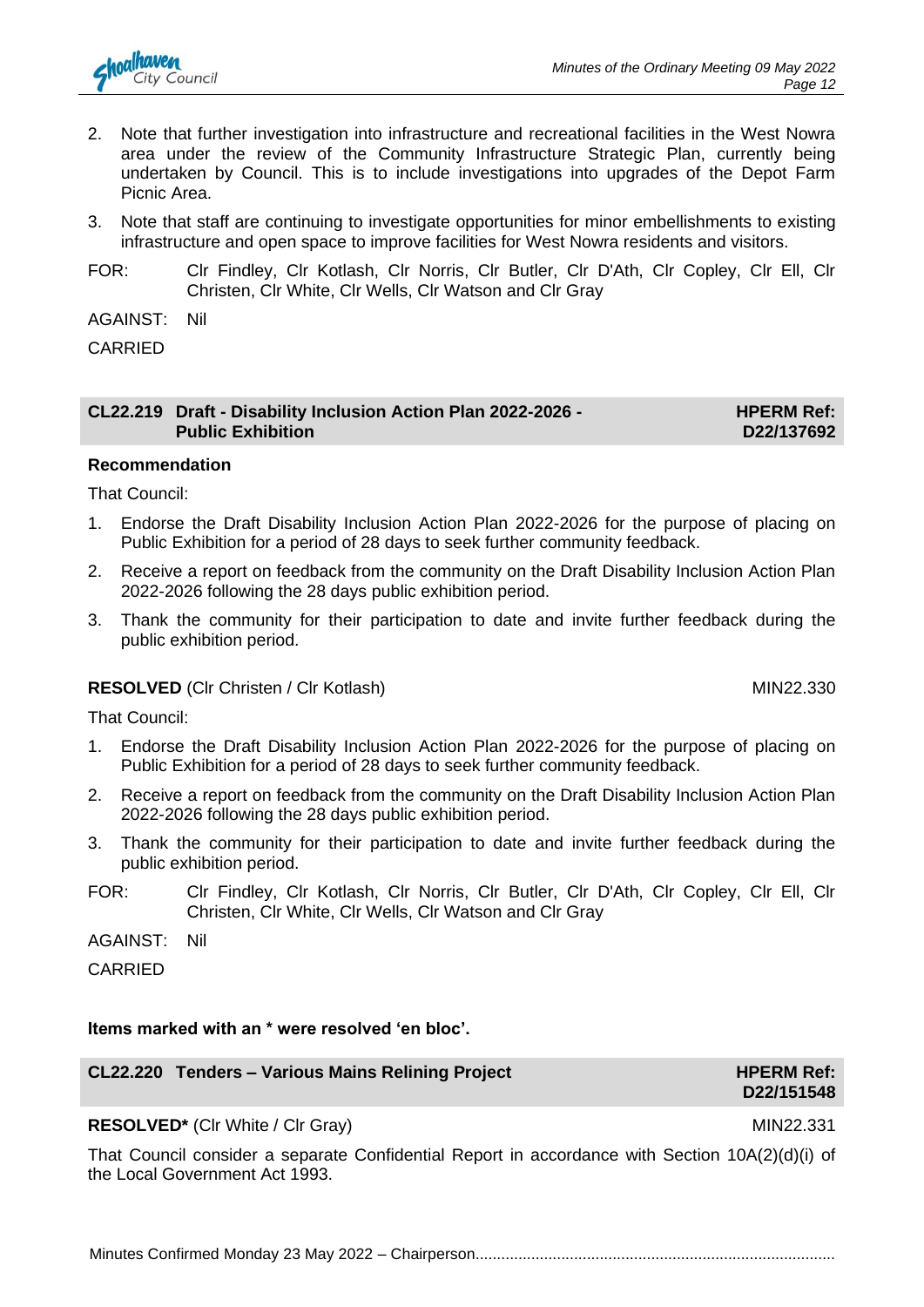

- 2. Note that further investigation into infrastructure and recreational facilities in the West Nowra area under the review of the Community Infrastructure Strategic Plan, currently being undertaken by Council. This is to include investigations into upgrades of the Depot Farm Picnic Area.
- 3. Note that staff are continuing to investigate opportunities for minor embellishments to existing infrastructure and open space to improve facilities for West Nowra residents and visitors.
- FOR: Clr Findley, Clr Kotlash, Clr Norris, Clr Butler, Clr D'Ath, Clr Copley, Clr Ell, Clr Christen, Clr White, Clr Wells, Clr Watson and Clr Gray

AGAINST: Nil

CARRIED

| CL22.219 Draft - Disability Inclusion Action Plan 2022-2026 - | <b>HPERM Ref:</b> |
|---------------------------------------------------------------|-------------------|
| <b>Public Exhibition</b>                                      | D22/137692        |

#### **Recommendation**

That Council:

- 1. Endorse the Draft Disability Inclusion Action Plan 2022-2026 for the purpose of placing on Public Exhibition for a period of 28 days to seek further community feedback.
- 2. Receive a report on feedback from the community on the Draft Disability Inclusion Action Plan 2022-2026 following the 28 days public exhibition period.
- 3. Thank the community for their participation to date and invite further feedback during the public exhibition period.

#### **RESOLVED** (Clr Christen / Clr Kotlash) MIN22.330

That Council:

- 1. Endorse the Draft Disability Inclusion Action Plan 2022-2026 for the purpose of placing on Public Exhibition for a period of 28 days to seek further community feedback.
- 2. Receive a report on feedback from the community on the Draft Disability Inclusion Action Plan 2022-2026 following the 28 days public exhibition period.
- 3. Thank the community for their participation to date and invite further feedback during the public exhibition period.
- FOR: Clr Findley, Clr Kotlash, Clr Norris, Clr Butler, Clr D'Ath, Clr Copley, Clr Ell, Clr Christen, Clr White, Clr Wells, Clr Watson and Clr Gray

AGAINST: Nil

CARRIED

#### **Items marked with an \* were resolved 'en bloc'.**

| CL22.220 Tenders - Various Mains Relining Project | <b>HPERM Ref:</b> |
|---------------------------------------------------|-------------------|
|                                                   | D22/151548        |

#### **RESOLVED\*** (CIr White / CIr Gray) MIN22.331

That Council consider a separate Confidential Report in accordance with Section 10A(2)(d)(i) of the Local Government Act 1993.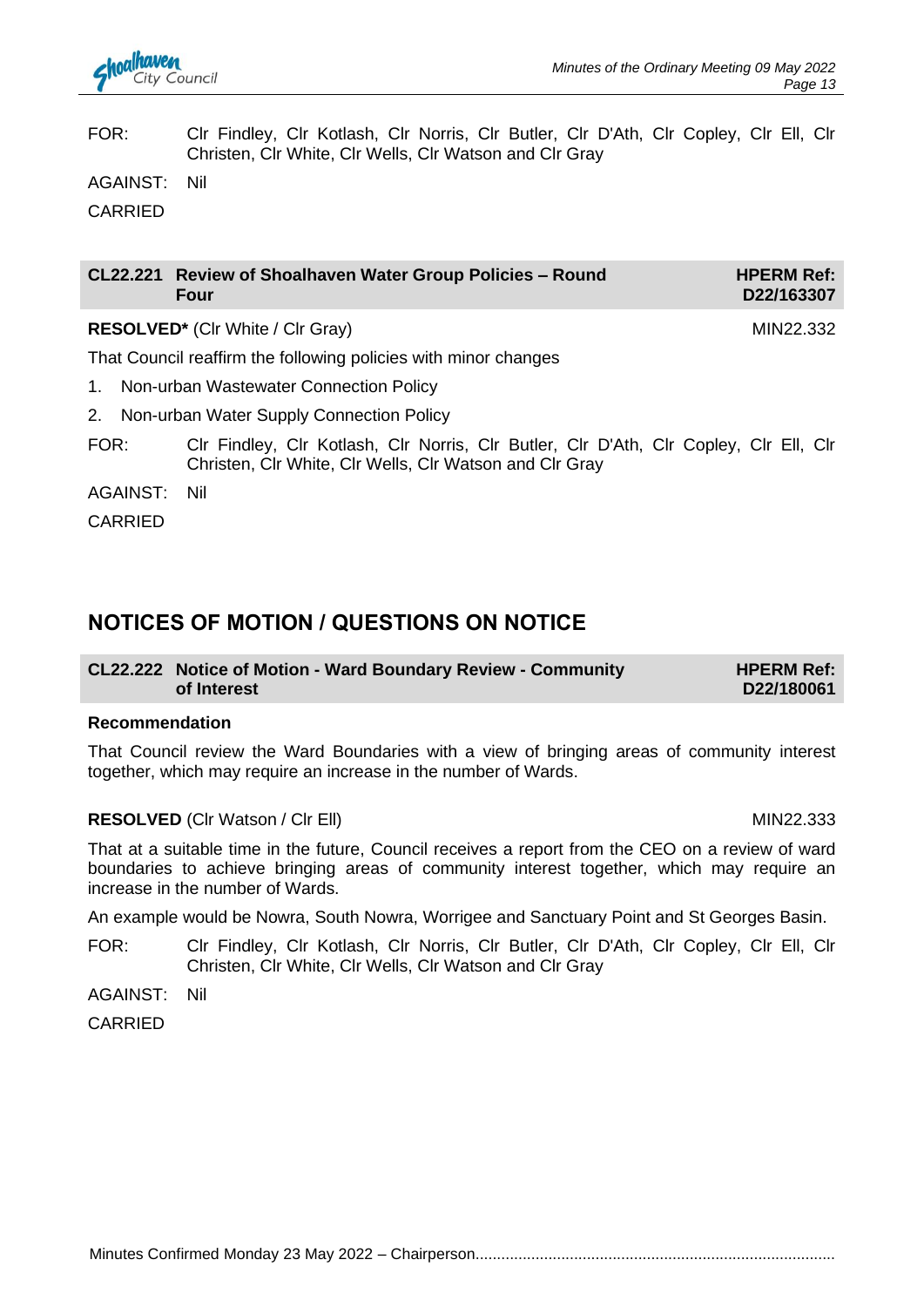#### FOR: Clr Findley, Clr Kotlash, Clr Norris, Clr Butler, Clr D'Ath, Clr Copley, Clr Ell, Clr Christen, Clr White, Clr Wells, Clr Watson and Clr Gray

AGAINST: Nil

CARRIED

| CL22.221 Review of Shoalhaven Water Group Policies - Round<br><b>Four</b> | <b>HPERM Ref:</b><br>D22/163307 |
|---------------------------------------------------------------------------|---------------------------------|
|                                                                           |                                 |

**RESOLVED<sup>\*</sup>** (Clr White / Clr Gray) MIN22.332

That Council reaffirm the following policies with minor changes

- 1. Non-urban Wastewater Connection Policy
- 2. Non-urban Water Supply Connection Policy
- FOR: Clr Findley, Clr Kotlash, Clr Norris, Clr Butler, Clr D'Ath, Clr Copley, Clr Ell, Clr Christen, Clr White, Clr Wells, Clr Watson and Clr Gray

AGAINST: Nil

CARRIED

### **NOTICES OF MOTION / QUESTIONS ON NOTICE**

#### **CL22.222 Notice of Motion - Ward Boundary Review - Community of Interest HPERM Ref: D22/180061**

#### **Recommendation**

That Council review the Ward Boundaries with a view of bringing areas of community interest together, which may require an increase in the number of Wards.

#### **RESOLVED** (CIr Watson / CIr Ell) MIN22.333

That at a suitable time in the future, Council receives a report from the CEO on a review of ward boundaries to achieve bringing areas of community interest together, which may require an increase in the number of Wards.

An example would be Nowra, South Nowra, Worrigee and Sanctuary Point and St Georges Basin.

FOR: Clr Findley, Clr Kotlash, Clr Norris, Clr Butler, Clr D'Ath, Clr Copley, Clr Ell, Clr Christen, Clr White, Clr Wells, Clr Watson and Clr Gray

AGAINST: Nil

CARRIED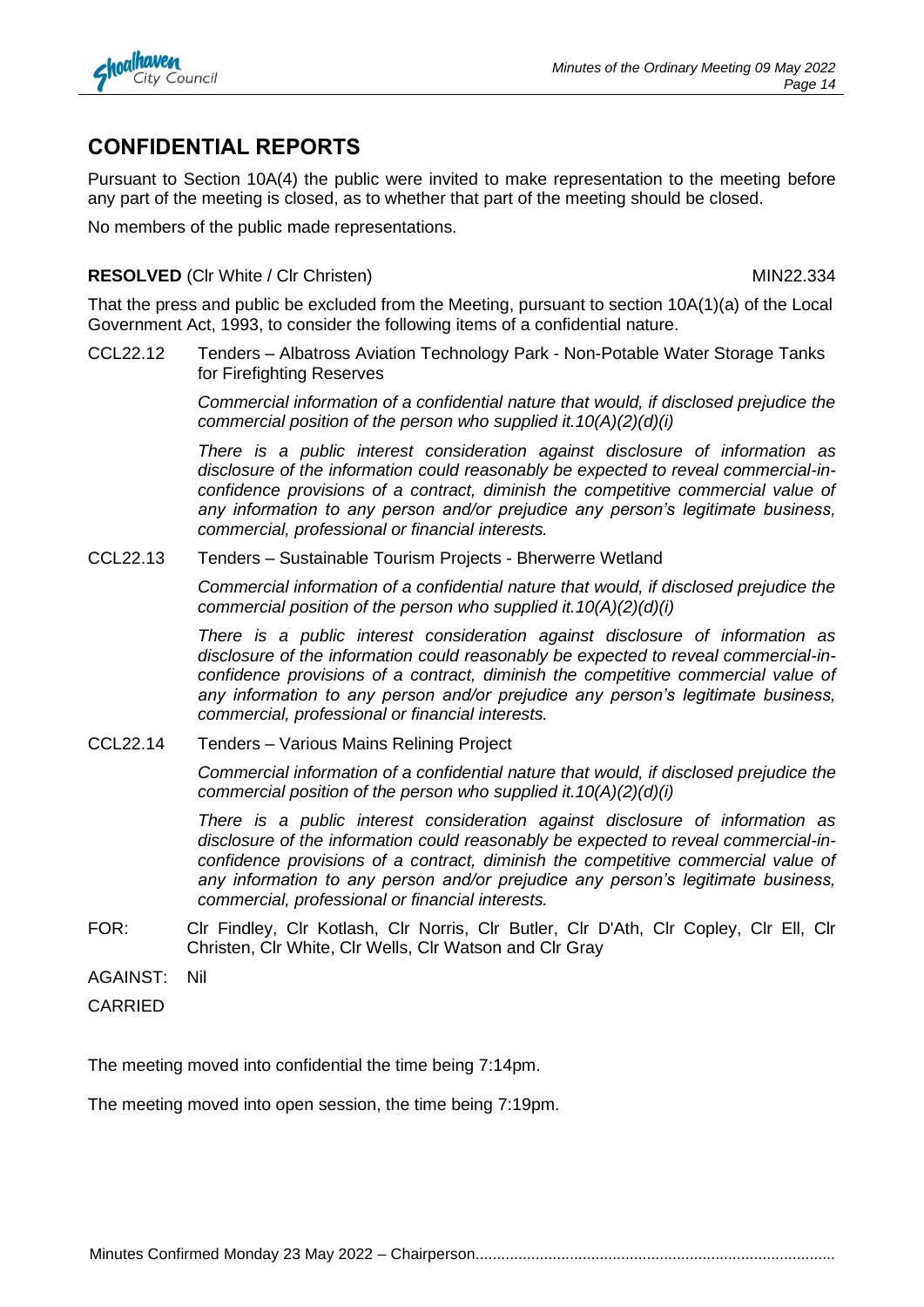

### **CONFIDENTIAL REPORTS**

Pursuant to Section 10A(4) the public were invited to make representation to the meeting before any part of the meeting is closed, as to whether that part of the meeting should be closed.

No members of the public made representations.

#### **RESOLVED** (CIr White / CIr Christen) MIN22.334

That the press and public be excluded from the Meeting, pursuant to section 10A(1)(a) of the Local Government Act, 1993, to consider the following items of a confidential nature.

CCL22.12 Tenders – Albatross Aviation Technology Park - Non-Potable Water Storage Tanks for Firefighting Reserves

> *Commercial information of a confidential nature that would, if disclosed prejudice the commercial position of the person who supplied it.10(A)(2)(d)(i)*

> *There is a public interest consideration against disclosure of information as disclosure of the information could reasonably be expected to reveal commercial-inconfidence provisions of a contract, diminish the competitive commercial value of any information to any person and/or prejudice any person's legitimate business, commercial, professional or financial interests.*

CCL22.13 Tenders – Sustainable Tourism Projects - Bherwerre Wetland

*Commercial information of a confidential nature that would, if disclosed prejudice the commercial position of the person who supplied it.10(A)(2)(d)(i)*

*There is a public interest consideration against disclosure of information as disclosure of the information could reasonably be expected to reveal commercial-inconfidence provisions of a contract, diminish the competitive commercial value of any information to any person and/or prejudice any person's legitimate business, commercial, professional or financial interests.*

CCL22.14 Tenders – Various Mains Relining Project

*Commercial information of a confidential nature that would, if disclosed prejudice the commercial position of the person who supplied it.10(A)(2)(d)(i)*

*There is a public interest consideration against disclosure of information as disclosure of the information could reasonably be expected to reveal commercial-inconfidence provisions of a contract, diminish the competitive commercial value of any information to any person and/or prejudice any person's legitimate business, commercial, professional or financial interests.*

- FOR: Clr Findley, Clr Kotlash, Clr Norris, Clr Butler, Clr D'Ath, Clr Copley, Clr Ell, Clr Christen, Clr White, Clr Wells, Clr Watson and Clr Gray
- AGAINST: Nil
- CARRIED

The meeting moved into confidential the time being 7:14pm.

The meeting moved into open session, the time being 7:19pm.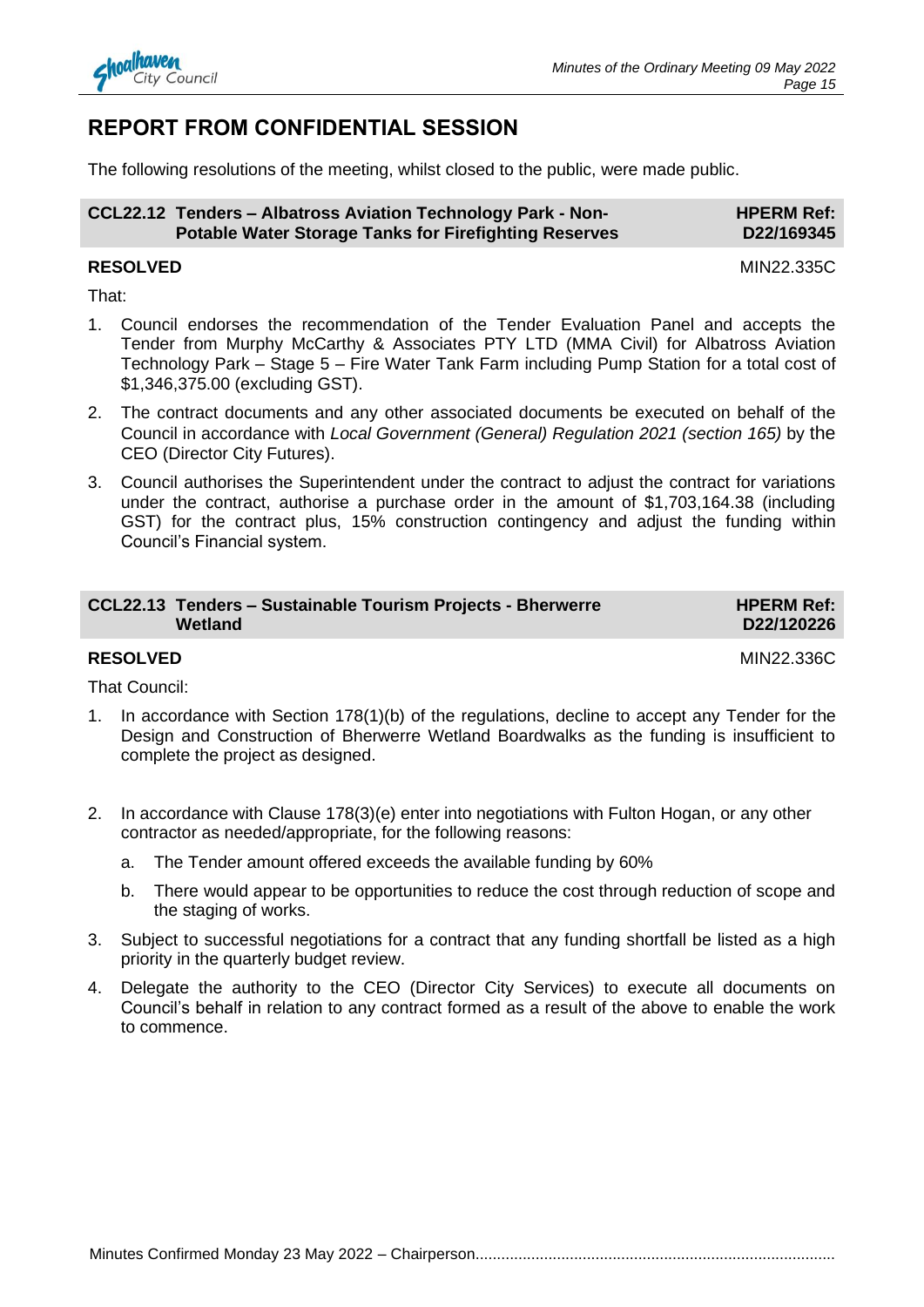

#### **REPORT FROM CONFIDENTIAL SESSION**

The following resolutions of the meeting, whilst closed to the public, were made public.

| CCL22.12 Tenders - Albatross Aviation Technology Park - Non- | <b>HPERM Ref:</b> |
|--------------------------------------------------------------|-------------------|
| <b>Potable Water Storage Tanks for Firefighting Reserves</b> | D22/169345        |

#### **RESOLVED** MIN22.335C

That:

- 1. Council endorses the recommendation of the Tender Evaluation Panel and accepts the Tender from Murphy McCarthy & Associates PTY LTD (MMA Civil) for Albatross Aviation Technology Park – Stage 5 – Fire Water Tank Farm including Pump Station for a total cost of \$1,346,375.00 (excluding GST).
- 2. The contract documents and any other associated documents be executed on behalf of the Council in accordance with *Local Government (General) Regulation 2021 (section 165)* by the CEO (Director City Futures).
- 3. Council authorises the Superintendent under the contract to adjust the contract for variations under the contract, authorise a purchase order in the amount of \$1,703,164.38 (including GST) for the contract plus, 15% construction contingency and adjust the funding within Council's Financial system.

| <b>CCL22.13 Tenders - Sustainable Tourism Projects - Bherwerre</b><br>Wetland | <b>HPERM Ref:</b><br>D22/120226 |
|-------------------------------------------------------------------------------|---------------------------------|
|                                                                               |                                 |

#### **RESOLVED** MIN22.336C

That Council:

- 1. In accordance with Section 178(1)(b) of the regulations, decline to accept any Tender for the Design and Construction of Bherwerre Wetland Boardwalks as the funding is insufficient to complete the project as designed.
- 2. In accordance with Clause 178(3)(e) enter into negotiations with Fulton Hogan, or any other contractor as needed/appropriate, for the following reasons:
	- a. The Tender amount offered exceeds the available funding by 60%
	- b. There would appear to be opportunities to reduce the cost through reduction of scope and the staging of works.
- 3. Subject to successful negotiations for a contract that any funding shortfall be listed as a high priority in the quarterly budget review.
- 4. Delegate the authority to the CEO (Director City Services) to execute all documents on Council's behalf in relation to any contract formed as a result of the above to enable the work to commence.